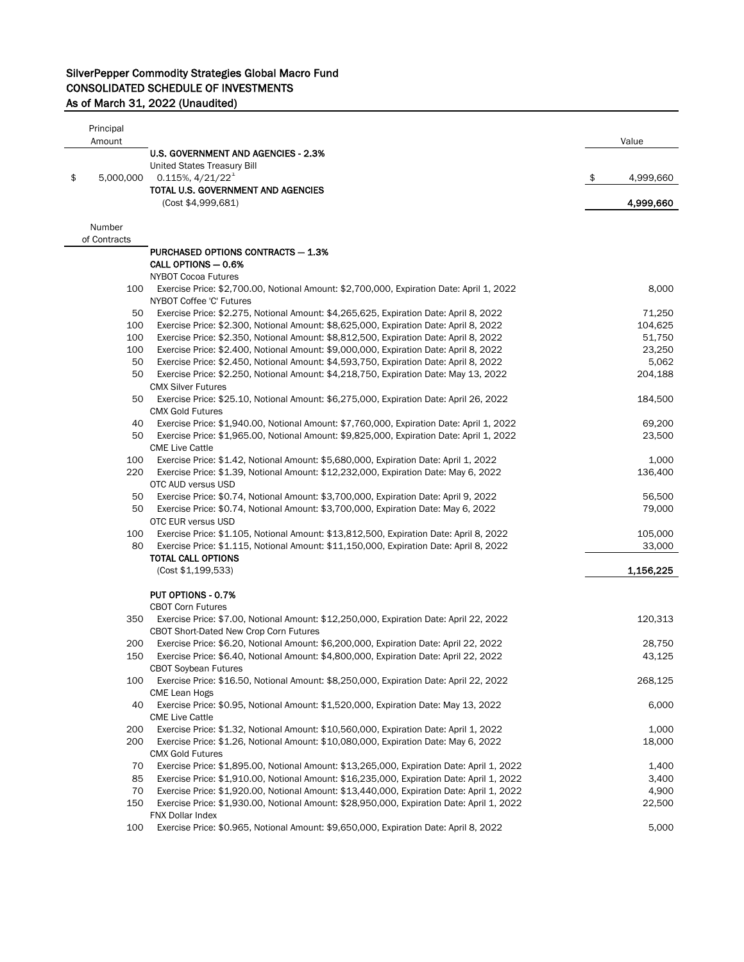| Principal       |                                                                                                                                                                                  |                   |
|-----------------|----------------------------------------------------------------------------------------------------------------------------------------------------------------------------------|-------------------|
| Amount          | <b>U.S. GOVERNMENT AND AGENCIES - 2.3%</b>                                                                                                                                       | Value             |
|                 | United States Treasury Bill                                                                                                                                                      |                   |
| \$<br>5,000,000 | $0.115\%, \frac{4}{21}/22^1$                                                                                                                                                     | \$<br>4,999,660   |
|                 | TOTAL U.S. GOVERNMENT AND AGENCIES                                                                                                                                               |                   |
|                 | (Cost \$4,999,681)                                                                                                                                                               | 4,999,660         |
| Number          |                                                                                                                                                                                  |                   |
| of Contracts    |                                                                                                                                                                                  |                   |
|                 | PURCHASED OPTIONS CONTRACTS - 1.3%<br>CALL OPTIONS - 0.6%                                                                                                                        |                   |
|                 | <b>NYBOT Cocoa Futures</b>                                                                                                                                                       |                   |
| 100             | Exercise Price: \$2,700.00, Notional Amount: \$2,700,000, Expiration Date: April 1, 2022                                                                                         | 8,000             |
|                 | NYBOT Coffee 'C' Futures                                                                                                                                                         |                   |
| 50              | Exercise Price: \$2.275, Notional Amount: \$4,265,625, Expiration Date: April 8, 2022                                                                                            | 71,250            |
| 100             | Exercise Price: \$2.300, Notional Amount: \$8,625,000, Expiration Date: April 8, 2022                                                                                            | 104,625           |
| 100             | Exercise Price: \$2.350, Notional Amount: \$8,812,500, Expiration Date: April 8, 2022                                                                                            | 51,750            |
| 100             | Exercise Price: \$2.400, Notional Amount: \$9,000,000, Expiration Date: April 8, 2022                                                                                            | 23,250            |
| 50<br>50        | Exercise Price: \$2.450, Notional Amount: \$4,593,750, Expiration Date: April 8, 2022<br>Exercise Price: \$2.250, Notional Amount: \$4,218,750, Expiration Date: May 13, 2022    | 5,062<br>204,188  |
|                 | <b>CMX Silver Futures</b>                                                                                                                                                        |                   |
| 50              | Exercise Price: \$25.10, Notional Amount: \$6,275,000, Expiration Date: April 26, 2022<br><b>CMX Gold Futures</b>                                                                | 184,500           |
| 40              | Exercise Price: \$1,940.00, Notional Amount: \$7,760,000, Expiration Date: April 1, 2022                                                                                         | 69,200            |
| 50              | Exercise Price: \$1,965.00, Notional Amount: \$9,825,000, Expiration Date: April 1, 2022                                                                                         | 23,500            |
|                 | <b>CME Live Cattle</b>                                                                                                                                                           |                   |
| 100             | Exercise Price: \$1.42, Notional Amount: \$5,680,000, Expiration Date: April 1, 2022                                                                                             | 1,000             |
| 220             | Exercise Price: \$1.39, Notional Amount: \$12,232,000, Expiration Date: May 6, 2022                                                                                              | 136,400           |
|                 | OTC AUD versus USD                                                                                                                                                               |                   |
| 50              | Exercise Price: \$0.74, Notional Amount: \$3,700,000, Expiration Date: April 9, 2022                                                                                             | 56,500            |
| 50              | Exercise Price: \$0.74, Notional Amount: \$3,700,000, Expiration Date: May 6, 2022                                                                                               | 79,000            |
|                 | OTC EUR versus USD                                                                                                                                                               |                   |
| 100<br>80       | Exercise Price: \$1.105, Notional Amount: \$13,812,500, Expiration Date: April 8, 2022<br>Exercise Price: \$1.115, Notional Amount: \$11,150,000, Expiration Date: April 8, 2022 | 105,000<br>33,000 |
|                 | <b>TOTAL CALL OPTIONS</b>                                                                                                                                                        |                   |
|                 | (Cost \$1,199,533)                                                                                                                                                               | 1,156,225         |
|                 |                                                                                                                                                                                  |                   |
|                 | PUT OPTIONS - 0.7%                                                                                                                                                               |                   |
|                 | <b>CBOT Corn Futures</b>                                                                                                                                                         |                   |
| 350             | Exercise Price: \$7.00, Notional Amount: \$12,250,000, Expiration Date: April 22, 2022<br>CBOT Short-Dated New Crop Corn Futures                                                 | 120,313           |
| 200             | Exercise Price: \$6.20, Notional Amount: \$6,200,000, Expiration Date: April 22, 2022                                                                                            | 28,750            |
| 150             | Exercise Price: \$6.40, Notional Amount: \$4,800,000, Expiration Date: April 22, 2022                                                                                            | 43,125            |
| 100             | <b>CBOT Soybean Futures</b><br>Exercise Price: \$16.50, Notional Amount: \$8,250,000, Expiration Date: April 22, 2022                                                            | 268,125           |
|                 | CME Lean Hogs                                                                                                                                                                    |                   |
| 40              | Exercise Price: \$0.95, Notional Amount: \$1,520,000, Expiration Date: May 13, 2022                                                                                              | 6,000             |
|                 | <b>CME Live Cattle</b>                                                                                                                                                           |                   |
| 200             | Exercise Price: \$1.32, Notional Amount: \$10,560,000, Expiration Date: April 1, 2022                                                                                            | 1,000             |
| 200             | Exercise Price: \$1.26, Notional Amount: \$10,080,000, Expiration Date: May 6, 2022<br><b>CMX Gold Futures</b>                                                                   | 18,000            |
| 70              | Exercise Price: \$1,895.00, Notional Amount: \$13,265,000, Expiration Date: April 1, 2022                                                                                        | 1,400             |
| 85              | Exercise Price: \$1,910.00, Notional Amount: \$16,235,000, Expiration Date: April 1, 2022                                                                                        | 3,400             |
| 70              | Exercise Price: \$1,920.00, Notional Amount: \$13,440,000, Expiration Date: April 1, 2022                                                                                        | 4,900             |
| 150             | Exercise Price: \$1,930.00, Notional Amount: \$28,950,000, Expiration Date: April 1, 2022<br>FNX Dollar Index                                                                    | 22,500            |
| 100             | Exercise Price: \$0.965, Notional Amount: \$9,650,000, Expiration Date: April 8, 2022                                                                                            | 5,000             |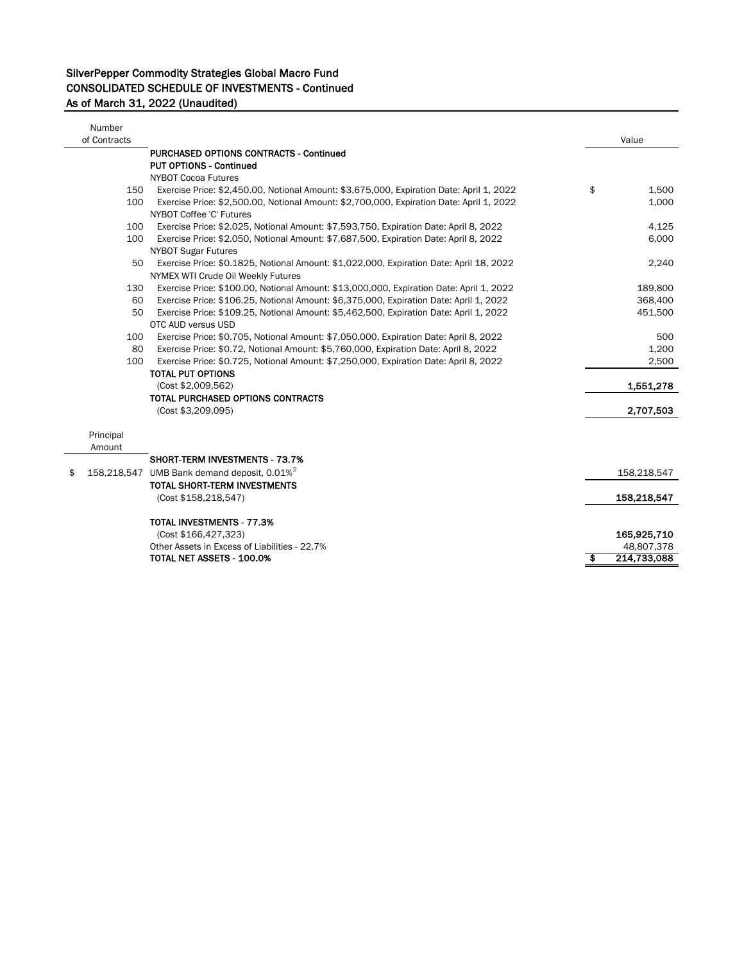| Number<br>of Contracts |                                                                                          | Value             |
|------------------------|------------------------------------------------------------------------------------------|-------------------|
|                        | <b>PURCHASED OPTIONS CONTRACTS - Continued</b>                                           |                   |
|                        | <b>PUT OPTIONS - Continued</b>                                                           |                   |
|                        | <b>NYBOT Cocoa Futures</b>                                                               |                   |
| 150                    | Exercise Price: \$2,450.00, Notional Amount: \$3,675,000, Expiration Date: April 1, 2022 | \$<br>1,500       |
| 100                    | Exercise Price: \$2,500.00, Notional Amount: \$2,700,000, Expiration Date: April 1, 2022 | 1,000             |
|                        | NYBOT Coffee 'C' Futures                                                                 |                   |
| 100                    | Exercise Price: \$2.025, Notional Amount: \$7,593,750, Expiration Date: April 8, 2022    | 4,125             |
| 100                    | Exercise Price: \$2.050, Notional Amount: \$7,687,500, Expiration Date: April 8, 2022    | 6,000             |
|                        | <b>NYBOT Sugar Futures</b>                                                               |                   |
| 50                     | Exercise Price: \$0.1825, Notional Amount: \$1,022,000, Expiration Date: April 18, 2022  | 2,240             |
|                        | NYMEX WTI Crude Oil Weekly Futures                                                       |                   |
| 130                    | Exercise Price: \$100.00, Notional Amount: \$13,000,000, Expiration Date: April 1, 2022  | 189,800           |
| 60                     | Exercise Price: \$106.25, Notional Amount: \$6,375,000, Expiration Date: April 1, 2022   | 368,400           |
| 50                     | Exercise Price: \$109.25, Notional Amount: \$5,462,500, Expiration Date: April 1, 2022   | 451,500           |
|                        | OTC AUD versus USD                                                                       |                   |
| 100                    | Exercise Price: \$0.705, Notional Amount: \$7,050,000, Expiration Date: April 8, 2022    | 500               |
| 80                     | Exercise Price: \$0.72, Notional Amount: \$5,760,000, Expiration Date: April 8, 2022     | 1,200             |
| 100                    | Exercise Price: \$0.725, Notional Amount: \$7,250,000, Expiration Date: April 8, 2022    | 2,500             |
|                        | <b>TOTAL PUT OPTIONS</b>                                                                 |                   |
|                        | (Cost \$2,009,562)                                                                       | 1,551,278         |
|                        | TOTAL PURCHASED OPTIONS CONTRACTS                                                        |                   |
|                        | (Cost \$3,209,095)                                                                       | 2,707,503         |
|                        |                                                                                          |                   |
| Principal              |                                                                                          |                   |
| Amount                 |                                                                                          |                   |
|                        | <b>SHORT-TERM INVESTMENTS - 73.7%</b>                                                    |                   |
| \$                     | 158,218,547 UMB Bank demand deposit, $0.01\%$ <sup>2</sup>                               | 158,218,547       |
|                        | <b>TOTAL SHORT-TERM INVESTMENTS</b>                                                      |                   |
|                        | (Cost \$158,218,547)                                                                     | 158,218,547       |
|                        | TOTAL INVESTMENTS - 77.3%                                                                |                   |
|                        | (Cost \$166,427,323)                                                                     | 165,925,710       |
|                        | Other Assets in Excess of Liabilities - 22.7%                                            | 48,807,378        |
|                        | TOTAL NET ASSETS - 100.0%                                                                | \$<br>214,733,088 |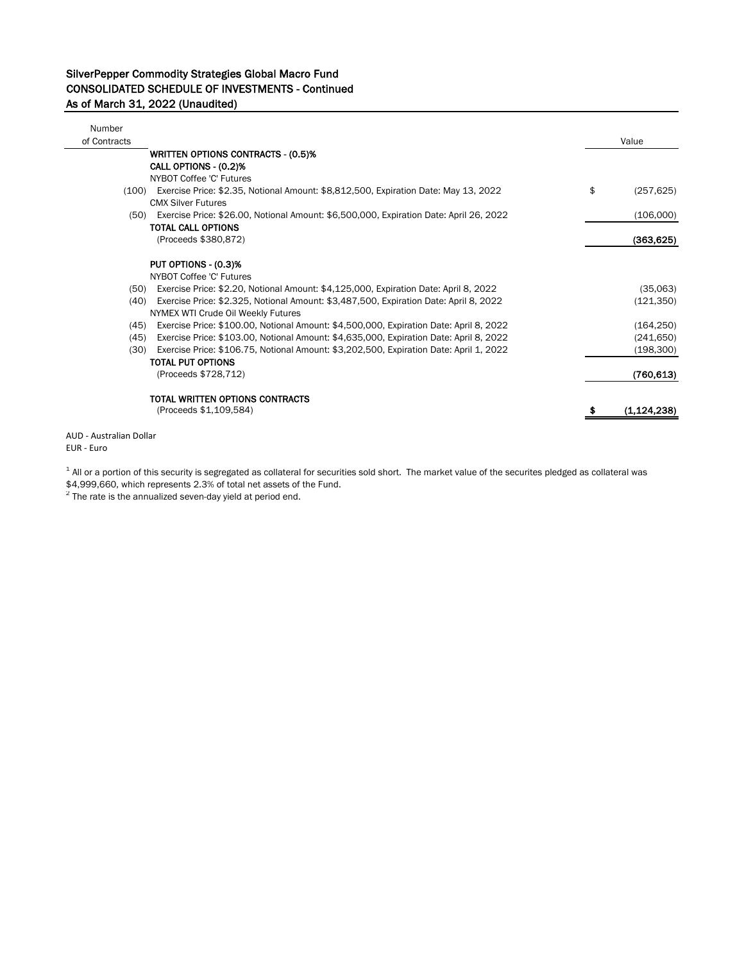| Number<br>of Contracts |                                                                                             | Value            |
|------------------------|---------------------------------------------------------------------------------------------|------------------|
|                        | <b>WRITTEN OPTIONS CONTRACTS - (0.5)%</b>                                                   |                  |
|                        | CALL OPTIONS - (0.2)%                                                                       |                  |
|                        | NYBOT Coffee 'C' Futures                                                                    |                  |
|                        | (100) Exercise Price: \$2.35, Notional Amount: \$8,812,500, Expiration Date: May 13, 2022   | \$<br>(257, 625) |
|                        | <b>CMX Silver Futures</b>                                                                   |                  |
|                        | (50) Exercise Price: \$26.00, Notional Amount: \$6,500,000, Expiration Date: April 26, 2022 | (106,000)        |
|                        | <b>TOTAL CALL OPTIONS</b>                                                                   |                  |
|                        | (Proceeds \$380,872)                                                                        | (363, 625)       |
|                        | PUT OPTIONS - (0.3)%                                                                        |                  |
|                        | NYBOT Coffee 'C' Futures                                                                    |                  |
|                        | (50) Exercise Price: \$2.20, Notional Amount: \$4,125,000, Expiration Date: April 8, 2022   | (35,063)         |
| (40)                   | Exercise Price: \$2.325, Notional Amount: \$3,487,500, Expiration Date: April 8, 2022       | (121, 350)       |
|                        | NYMEX WTI Crude Oil Weekly Futures                                                          |                  |
| (45)                   | Exercise Price: \$100.00, Notional Amount: \$4,500,000, Expiration Date: April 8, 2022      | (164, 250)       |
| (45)                   | Exercise Price: \$103.00, Notional Amount: \$4,635,000, Expiration Date: April 8, 2022      | (241, 650)       |
| (30)                   | Exercise Price: \$106.75, Notional Amount: \$3,202,500, Expiration Date: April 1, 2022      | (198, 300)       |
|                        | <b>TOTAL PUT OPTIONS</b>                                                                    |                  |
|                        | (Proceeds \$728,712)                                                                        | (760, 613)       |
|                        | TOTAL WRITTEN OPTIONS CONTRACTS                                                             |                  |
|                        | (Proceeds \$1,109,584)                                                                      | (1, 124, 238)    |
|                        |                                                                                             |                  |

AUD - Australian Dollar EUR - Euro

 $^{\text{1}}$  All or a portion of this security is segregated as collateral for securities sold short. The market value of the securites pledged as collateral was

\$4,999,660, which represents 2.3% of total net assets of the Fund.

 $2$  The rate is the annualized seven-day yield at period end.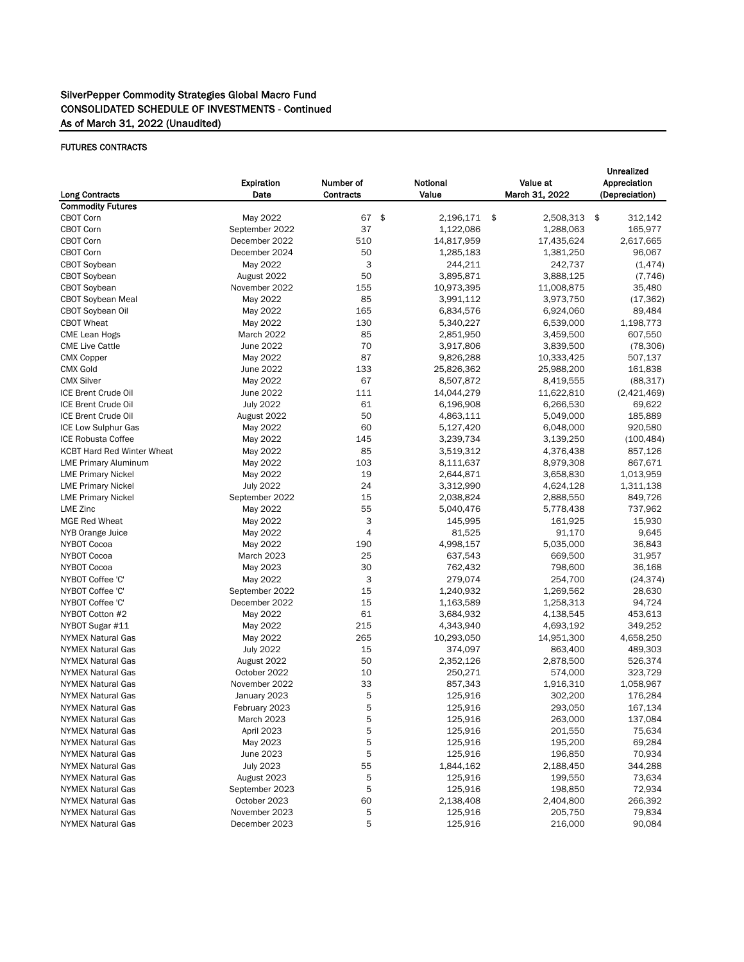#### FUTURES CONTRACTS

| <b>Long Contracts</b>             | Expiration<br>Date | Number of<br><b>Contracts</b> | Notional<br>Value                      | Value at<br>March 31, 2022 | <b>Unrealized</b><br>Appreciation<br>(Depreciation) |  |  |
|-----------------------------------|--------------------|-------------------------------|----------------------------------------|----------------------------|-----------------------------------------------------|--|--|
| <b>Commodity Futures</b>          |                    |                               |                                        |                            |                                                     |  |  |
| CBOT Corn                         | May 2022           | 67                            | $\boldsymbol{\hat{\phi}}$<br>2,196,171 | \$<br>2,508,313            | \$<br>312,142                                       |  |  |
| CBOT Corn                         | September 2022     | 37                            | 1,122,086                              | 1,288,063                  | 165,977                                             |  |  |
| <b>CBOT Corn</b>                  | December 2022      | 510                           | 14,817,959                             | 17,435,624                 | 2,617,665                                           |  |  |
| <b>CBOT Corn</b>                  | December 2024      | 50                            | 1,285,183                              | 1,381,250                  | 96,067                                              |  |  |
| CBOT Soybean                      | May 2022           | 3                             | 244,211                                | 242,737                    | (1, 474)                                            |  |  |
| CBOT Soybean                      | August 2022        | 50                            | 3,895,871                              | 3,888,125                  | (7, 746)                                            |  |  |
| CBOT Soybean                      | November 2022      | 155                           | 10,973,395                             | 11,008,875                 | 35,480                                              |  |  |
| <b>CBOT Soybean Meal</b>          | May 2022           | 85                            | 3,991,112                              | 3,973,750                  | (17, 362)                                           |  |  |
| CBOT Soybean Oil                  | May 2022           | 165                           | 6,834,576                              | 6,924,060                  | 89,484                                              |  |  |
| <b>CBOT Wheat</b>                 | May 2022           | 130                           | 5,340,227                              | 6,539,000                  | 1,198,773                                           |  |  |
| CME Lean Hogs                     | March 2022         | 85                            | 2,851,950                              | 3,459,500                  | 607,550                                             |  |  |
| <b>CME Live Cattle</b>            | June 2022          | 70                            | 3,917,806                              | 3,839,500                  | (78, 306)                                           |  |  |
| <b>CMX Copper</b>                 | May 2022           | 87                            | 9,826,288                              | 10,333,425                 | 507,137                                             |  |  |
| <b>CMX Gold</b>                   | June 2022          | 133                           | 25,826,362                             | 25,988,200                 | 161,838                                             |  |  |
| <b>CMX Silver</b>                 | May 2022           | 67                            | 8,507,872                              | 8,419,555                  | (88, 317)                                           |  |  |
| ICE Brent Crude Oil               | June 2022          | 111                           | 14,044,279                             | 11,622,810                 | (2,421,469)                                         |  |  |
| ICE Brent Crude Oil               | <b>July 2022</b>   | 61                            | 6,196,908                              | 6,266,530                  | 69,622                                              |  |  |
| ICE Brent Crude Oil               | August 2022        | 50                            | 4,863,111                              | 5,049,000                  | 185,889                                             |  |  |
| ICE Low Sulphur Gas               | May 2022           | 60                            | 5,127,420                              | 6,048,000                  | 920,580                                             |  |  |
| <b>ICE Robusta Coffee</b>         | May 2022           | 145                           | 3,239,734                              | 3,139,250                  | (100, 484)                                          |  |  |
| <b>KCBT Hard Red Winter Wheat</b> | May 2022           | 85                            | 3,519,312                              | 4,376,438                  | 857,126                                             |  |  |
| <b>LME Primary Aluminum</b>       | May 2022           | 103                           | 8,111,637                              | 8,979,308                  | 867,671                                             |  |  |
| <b>LME Primary Nickel</b>         | May 2022           | 19                            | 2,644,871                              | 3,658,830                  | 1,013,959                                           |  |  |
| <b>LME Primary Nickel</b>         | <b>July 2022</b>   | 24                            | 3,312,990                              | 4,624,128                  | 1,311,138                                           |  |  |
| <b>LME Primary Nickel</b>         | September 2022     | 15                            | 2,038,824                              | 2,888,550                  | 849,726                                             |  |  |
| <b>LME Zinc</b>                   | May 2022           | 55                            | 5,040,476                              | 5,778,438                  | 737,962                                             |  |  |
| <b>MGE Red Wheat</b>              | May 2022           | 3                             | 145,995                                | 161,925                    | 15,930                                              |  |  |
| NYB Orange Juice                  | May 2022           | 4                             | 81,525                                 | 91,170                     | 9,645                                               |  |  |
| NYBOT Cocoa                       | May 2022           | 190                           | 4,998,157                              | 5,035,000                  | 36,843                                              |  |  |
| NYBOT Cocoa                       | March 2023         | 25                            | 637,543                                | 669,500                    | 31,957                                              |  |  |
| NYBOT Cocoa                       | May 2023           | 30                            | 762,432                                | 798,600                    | 36,168                                              |  |  |
| NYBOT Coffee 'C'                  | May 2022           | 3                             | 279,074                                | 254,700                    | (24, 374)                                           |  |  |
| NYBOT Coffee 'C'                  | September 2022     | 15                            | 1,240,932                              | 1,269,562                  | 28,630                                              |  |  |
| NYBOT Coffee 'C'                  | December 2022      | 15                            | 1,163,589                              | 1,258,313                  | 94,724                                              |  |  |
| NYBOT Cotton #2                   | May 2022           | 61                            | 3,684,932                              | 4,138,545                  | 453,613                                             |  |  |
| NYBOT Sugar #11                   | May 2022           | 215                           | 4,343,940                              | 4,693,192                  | 349,252                                             |  |  |
| <b>NYMEX Natural Gas</b>          | May 2022           | 265                           | 10,293,050                             | 14,951,300                 | 4,658,250                                           |  |  |
| <b>NYMEX Natural Gas</b>          | <b>July 2022</b>   | 15                            | 374,097                                | 863,400                    | 489,303                                             |  |  |
| <b>NYMEX Natural Gas</b>          | August 2022        | 50                            | 2,352,126                              | 2,878,500                  | 526,374                                             |  |  |
| <b>NYMEX Natural Gas</b>          | October 2022       | 10                            | 250,271                                | 574,000                    | 323,729                                             |  |  |
| <b>NYMEX Natural Gas</b>          | November 2022      | 33                            | 857,343                                | 1,916,310                  | 1,058,967                                           |  |  |
| <b>NYMEX Natural Gas</b>          | January 2023       | 5                             | 125,916                                | 302,200                    | 176,284                                             |  |  |
| <b>NYMEX Natural Gas</b>          | February 2023      | 5                             | 125,916                                | 293,050                    | 167,134                                             |  |  |
| <b>NYMEX Natural Gas</b>          | March 2023         | 5                             | 125,916                                | 263,000                    | 137,084                                             |  |  |
| <b>NYMEX Natural Gas</b>          | April 2023         | 5                             | 125,916                                | 201,550                    | 75,634                                              |  |  |
| <b>NYMEX Natural Gas</b>          | May 2023           | 5                             | 125,916                                | 195,200                    | 69,284                                              |  |  |
| <b>NYMEX Natural Gas</b>          | June 2023          | 5                             | 125,916                                | 196,850                    | 70,934                                              |  |  |
| <b>NYMEX Natural Gas</b>          | <b>July 2023</b>   | 55                            | 1,844,162                              | 2,188,450                  | 344,288                                             |  |  |
| <b>NYMEX Natural Gas</b>          | August 2023        | 5                             | 125,916                                | 199,550                    | 73,634                                              |  |  |
| <b>NYMEX Natural Gas</b>          | September 2023     | 5                             | 125,916                                | 198,850                    | 72,934                                              |  |  |
| <b>NYMEX Natural Gas</b>          | October 2023       | 60                            | 2,138,408                              | 2,404,800                  | 266,392                                             |  |  |
| <b>NYMEX Natural Gas</b>          | November 2023      | 5                             | 125,916                                | 205,750                    | 79,834                                              |  |  |
| <b>NYMEX Natural Gas</b>          | December 2023      | 5                             | 125,916                                | 216,000                    | 90,084                                              |  |  |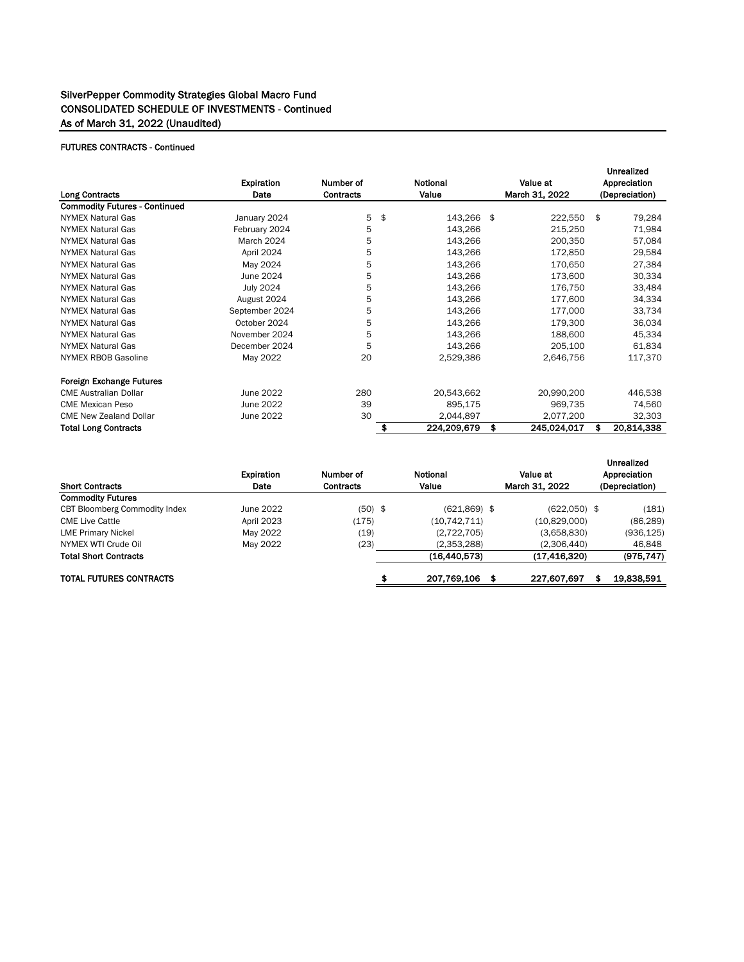### FUTURES CONTRACTS - Continued

|                                      |                       |                       |               |                        |          |                | Unrealized     |            |  |
|--------------------------------------|-----------------------|-----------------------|---------------|------------------------|----------|----------------|----------------|------------|--|
|                                      | Expiration            | Notional<br>Number of |               |                        | Value at |                | Appreciation   |            |  |
| <b>Long Contracts</b>                | Date                  | <b>Contracts</b>      |               | Value                  |          | March 31, 2022 | (Depreciation) |            |  |
| <b>Commodity Futures - Continued</b> |                       |                       |               |                        |          |                |                |            |  |
| <b>NYMEX Natural Gas</b>             | January 2024          | 5                     | $\frac{1}{2}$ | 143,266                | \$       | 222,550        | \$             | 79,284     |  |
| <b>NYMEX Natural Gas</b>             | February 2024         | 5                     |               | 143,266                |          | 215,250        |                | 71,984     |  |
| <b>NYMEX Natural Gas</b>             | March 2024            | 5                     |               | 143,266                |          | 200,350        |                | 57,084     |  |
| <b>NYMEX Natural Gas</b>             | April 2024            | 5                     |               | 143,266                |          | 172,850        |                | 29,584     |  |
| <b>NYMEX Natural Gas</b>             | May 2024              | 5                     |               | 143,266                |          | 170,650        |                | 27,384     |  |
| <b>NYMEX Natural Gas</b>             | June 2024             | 5                     |               | 143,266                |          | 173,600        |                | 30,334     |  |
| <b>NYMEX Natural Gas</b>             | 5<br><b>July 2024</b> |                       | 143,266       |                        | 176,750  |                | 33,484         |            |  |
| <b>NYMEX Natural Gas</b>             | 5<br>August 2024      |                       |               | 143,266<br>177,600     |          |                |                | 34,334     |  |
| <b>NYMEX Natural Gas</b>             | September 2024        | 5                     |               | 143,266                |          | 177,000        |                | 33,734     |  |
| <b>NYMEX Natural Gas</b>             | October 2024          | 5                     |               | 143,266                |          | 179,300        |                | 36,034     |  |
| <b>NYMEX Natural Gas</b>             | November 2024         | 5                     |               | 143,266                |          | 188,600        |                | 45,334     |  |
| <b>NYMEX Natural Gas</b>             | December 2024         | 5                     |               | 143,266                |          | 205,100        |                | 61,834     |  |
| <b>NYMEX RBOB Gasoline</b>           | May 2022              | 20                    |               | 2,529,386              |          | 2,646,756      |                | 117,370    |  |
| <b>Foreign Exchange Futures</b>      |                       |                       |               |                        |          |                |                |            |  |
| <b>CME Australian Dollar</b>         | June 2022             | 280                   |               | 20,543,662             |          | 20,990,200     |                | 446,538    |  |
| <b>CME Mexican Peso</b>              | June 2022             | 39                    |               | 895,175                |          | 969,735        |                | 74,560     |  |
| <b>CME New Zealand Dollar</b>        | June 2022             | 30                    |               | 2,044,897<br>2,077,200 |          |                |                | 32,303     |  |
| <b>Total Long Contracts</b>          |                       |                       | \$            | 224,209,679            | \$       | 245,024,017    | S              | 20,814,338 |  |

| <b>Short Contracts</b>               | Expiration<br>Number of<br>Date<br><b>Contracts</b> |           | Notional<br>Value |                | Value at<br>March 31, 2022 | Unrealized<br>Appreciation<br>(Depreciation) |            |  |
|--------------------------------------|-----------------------------------------------------|-----------|-------------------|----------------|----------------------------|----------------------------------------------|------------|--|
| <b>Commodity Futures</b>             |                                                     |           |                   |                |                            |                                              |            |  |
| <b>CBT Bloomberg Commodity Index</b> | June 2022                                           | $(50)$ \$ |                   | $(621,869)$ \$ | $(622,050)$ \$             |                                              | (181)      |  |
| <b>CME Live Cattle</b>               | April 2023                                          | (175)     |                   | (10, 742, 711) | (10,829,000)               |                                              | (86, 289)  |  |
| <b>LME Primary Nickel</b>            | May 2022                                            | (19)      |                   | (2,722,705)    | (3,658,830)                |                                              | (936, 125) |  |
| NYMEX WTI Crude Oil                  | May 2022                                            | (23)      |                   | (2,353,288)    | (2,306,440)                |                                              | 46,848     |  |
| <b>Total Short Contracts</b>         |                                                     |           |                   | (16, 440, 573) | (17, 416, 320)             |                                              | (975, 747) |  |
| <b>TOTAL FUTURES CONTRACTS</b>       |                                                     |           | \$                | 207,769,106    | 227,607,697<br>\$          | \$                                           | 19,838,591 |  |